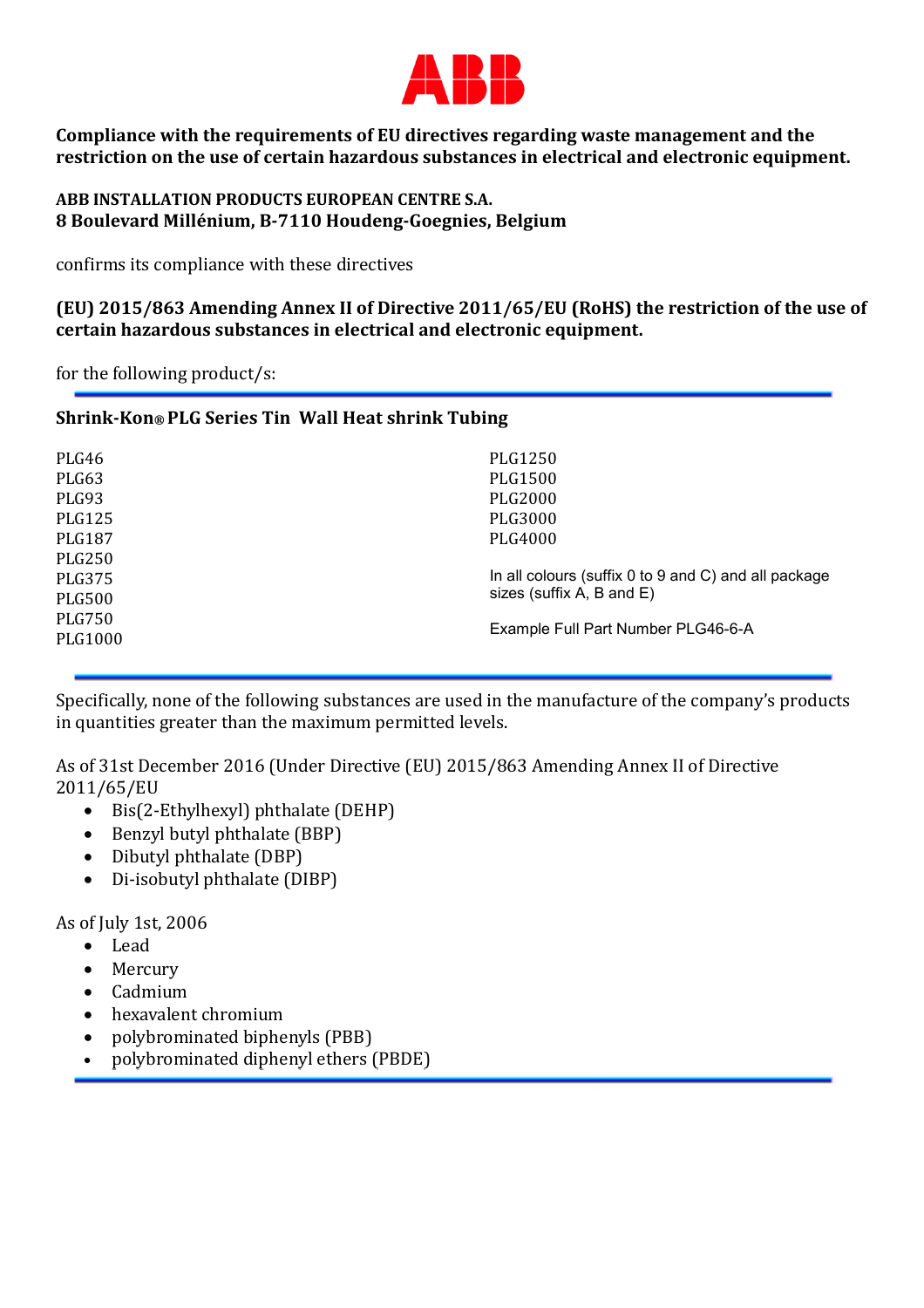

**Compliance with the requirements of EU directives regarding waste management and the restriction on the use of certain hazardous substances in electrical and electronic equipment.** 

## **ABB INSTALLATION PRODUCTS EUROPEAN CENTRE S.A. 8 Boulevard Millénium, B-7110 Houdeng-Goegnies, Belgium**

confirms its compliance with these directives

**(EU) 2015/863 Amending Annex II of Directive 2011/65/EU (RoHS) the restriction of the use of certain hazardous substances in electrical and electronic equipment.** 

for the following product/s:

## **Shrink-Kon***®* **PLG Series Tin Wall Heat shrink Tubing**

| PLG46<br>PLG63<br>PLG93            | PLG1250<br>PLG1500<br>PLG2000                                   |
|------------------------------------|-----------------------------------------------------------------|
| <b>PLG125</b><br>PLG187            | PLG3000<br>PLG4000                                              |
| <b>PLG250</b><br>PLG375            | In all colours (suffix 0 to 9 and C) and all package            |
| PLG500<br><b>PLG750</b><br>PLG1000 | sizes (suffix A, B and E)<br>Example Full Part Number PLG46-6-A |
|                                    |                                                                 |

Specifically, none of the following substances are used in the manufacture of the company's products in quantities greater than the maximum permitted levels.

As of 31st December 2016 (Under Directive (EU) 2015/863 Amending Annex II of Directive 2011/65/EU

- Bis(2-Ethylhexyl) phthalate (DEHP)
- Benzyl butyl phthalate (BBP)
- Dibutyl phthalate (DBP)
- Di-isobutyl phthalate (DIBP)

As of July 1st, 2006

- Lead
- Mercury
- Cadmium
- hexavalent chromium
- polybrominated biphenyls (PBB)
- polybrominated diphenyl ethers (PBDE)